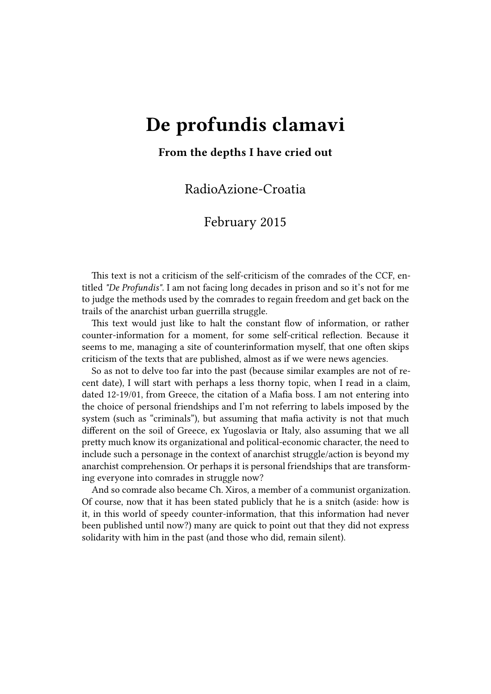## **De profundis clamavi**

## **From the depths I have cried out**

RadioAzione-Croatia

## February 2015

This text is not a criticism of the self-criticism of the comrades of the CCF, entitled *"De Profundis"*. I am not facing long decades in prison and so it's not for me to judge the methods used by the comrades to regain freedom and get back on the trails of the anarchist urban guerrilla struggle.

Thi[s text would j](https://lib.anarhija.net/library/conspiracy-of-cells-of-fire-de-profundis)ust like to halt the constant flow of information, or rather counter-information for a moment, for some self-critical reflection. Because it seems to me, managing a site of counterinformation myself, that one often skips criticism of the texts that are published, almost as if we were news agencies.

So as not to delve too far into the past (because similar examples are not of recent date), I will start with perhaps a less thorny topic, when I read in a claim, dated 12-19/01, from Greece, the citation of a Mafia boss. I am not entering into the choice of personal friendships and I'm not referring to labels imposed by the system (such as "criminals"), but assuming that mafia activity is not that much different on the soil of Greece, ex Yugoslavia or Italy, also assuming that we all pretty much know its organizational and political-economic character, the need to include such a personage in the context of anarchist struggle/action is beyond my anarchist comprehension. Or perhaps it is personal friendships that are transforming everyone into comrades in struggle now?

And so comrade also became Ch. Xiros, a member of a communist organization. Of course, now that it has been stated publicly that he is a snitch (aside: how is it, in this world of speedy counter-information, that this information had never been published until now?) many are quick to point out that they did not express solidarity with him in the past (and those who did, remain silent).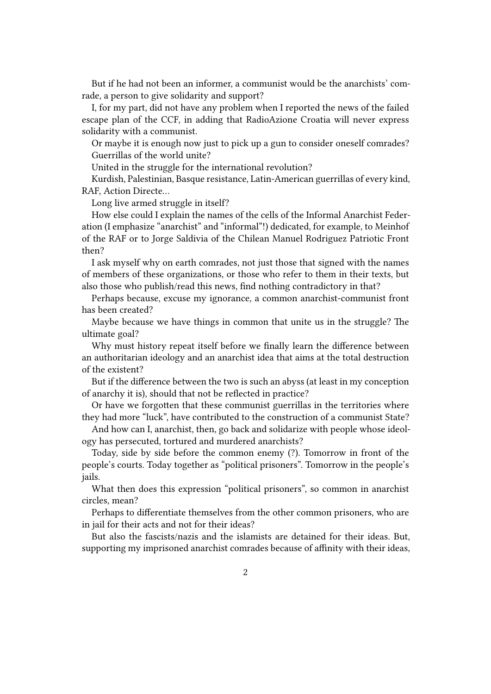But if he had not been an informer, a communist would be the anarchists' comrade, a person to give solidarity and support?

I, for my part, did not have any problem when I reported the news of the failed escape plan of the CCF, in adding that RadioAzione Croatia will never express solidarity with a communist.

Or maybe it is enough now just to pick up a gun to consider oneself comrades? Guerrillas of the world unite?

United in the struggle for the international revolution?

Kurdish, Palestinian, Basque resistance, Latin-American guerrillas of every kind, RAF, Action Directe…

Long live armed struggle in itself?

How else could I explain the names of the cells of the Informal Anarchist Federation (I emphasize "anarchist" and "informal"!) dedicated, for example, to Meinhof of the RAF or to Jorge Saldivia of the Chilean Manuel Rodriguez Patriotic Front then?

I ask myself why on earth comrades, not just those that signed with the names of members of these organizations, or those who refer to them in their texts, but also those who publish/read this news, find nothing contradictory in that?

Perhaps because, excuse my ignorance, a common anarchist-communist front has been created?

Maybe because we have things in common that unite us in the struggle? The ultimate goal?

Why must history repeat itself before we finally learn the difference between an authoritarian ideology and an anarchist idea that aims at the total destruction of the existent?

But if the difference between the two is such an abyss (at least in my conception of anarchy it is), should that not be reflected in practice?

Or have we forgotten that these communist guerrillas in the territories where they had more "luck", have contributed to the construction of a communist State?

And how can I, anarchist, then, go back and solidarize with people whose ideology has persecuted, tortured and murdered anarchists?

Today, side by side before the common enemy (?). Tomorrow in front of the people's courts. Today together as "political prisoners". Tomorrow in the people's jails.

What then does this expression "political prisoners", so common in anarchist circles, mean?

Perhaps to differentiate themselves from the other common prisoners, who are in jail for their acts and not for their ideas?

But also the fascists/nazis and the islamists are detained for their ideas. But, supporting my imprisoned anarchist comrades because of affinity with their ideas,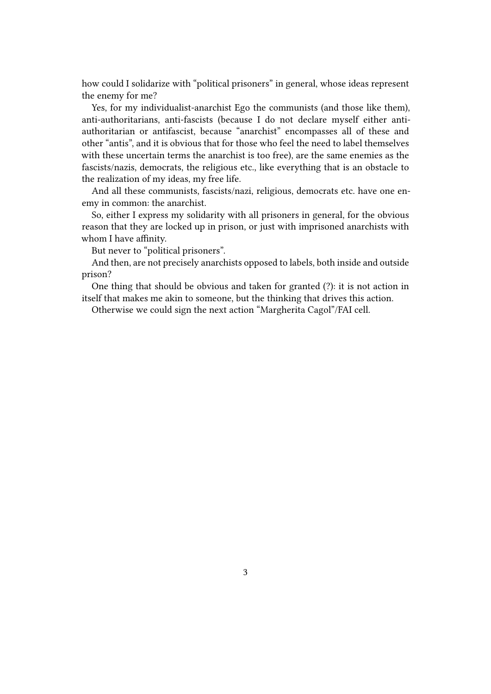how could I solidarize with "political prisoners" in general, whose ideas represent the enemy for me?

Yes, for my individualist-anarchist Ego the communists (and those like them), anti-authoritarians, anti-fascists (because I do not declare myself either antiauthoritarian or antifascist, because "anarchist" encompasses all of these and other "antis", and it is obvious that for those who feel the need to label themselves with these uncertain terms the anarchist is too free), are the same enemies as the fascists/nazis, democrats, the religious etc., like everything that is an obstacle to the realization of my ideas, my free life.

And all these communists, fascists/nazi, religious, democrats etc. have one enemy in common: the anarchist.

So, either I express my solidarity with all prisoners in general, for the obvious reason that they are locked up in prison, or just with imprisoned anarchists with whom I have affinity.

But never to "political prisoners".

And then, are not precisely anarchists opposed to labels, both inside and outside prison?

One thing that should be obvious and taken for granted (?): it is not action in itself that makes me akin to someone, but the thinking that drives this action.

Otherwise we could sign the next action "Margherita Cagol"/FAI cell.